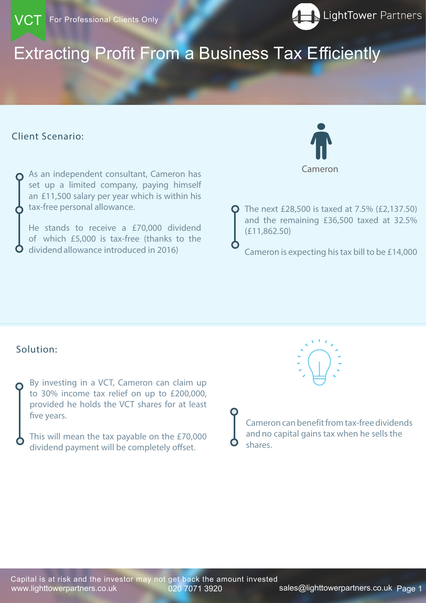# Extracting Profit From a Business Tax Efficiently

www.lighttowerpartners.co.uk 020 7071 3920 sales@lighttowerpartners.co.uk Page 1 Capital is at risk and the investor may not get back the amount invested

### Client Scenario:





By investing in a VCT, Cameron can claim up to 30% income tax relief on up to £200,000, provided he holds the VCT shares for at least five years.

This will mean the tax payable on the £70,000 dividend payment will be completely offset.



The next £28,500 is taxed at 7.5% (£2,137.50) and the remaining £36,500 taxed at 32.5% (£11,862.50)

Cameron is expecting his tax bill to be £14,000

As an independent consultant, Cameron has set up a limited company, paying himself an £11,500 salary per year which is within his tax-free personal allowance.

He stands to receive a £70,000 dividend of which £5,000 is tax-free (thanks to the dividend allowance introduced in 2016)

## Solution:

Cameron

Cameron can benefit from tax-free dividends and no capital gains tax when he sells the shares.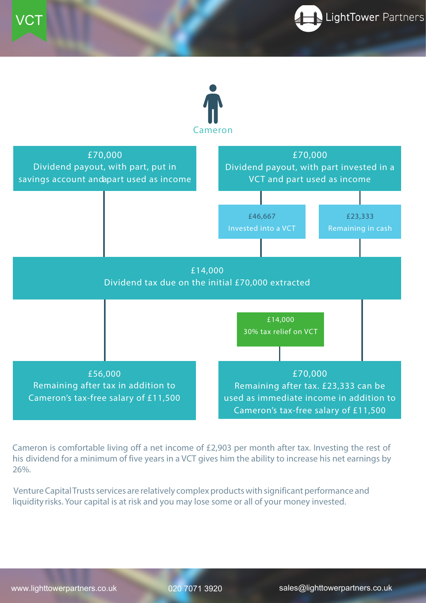





Cameron is comfortable living off a net income of £2,903 per month after tax. Investing the rest of his dividend for a minimum of five years in a VCT gives him the ability to increase his net earnings by 26%.

Venture Capital Trusts services are relatively complex products with significant performance and liquidity risks. Your capital is at risk and you may lose some or all of your money invested.

# www.lighttowerpartners.co.uk 020 7071 3920 sales@lighttowerpartners.co.uk